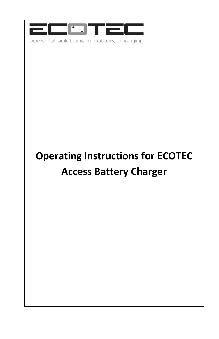

powerful solutions in battery charging

# **Operating Instructions for ECOTEC Access Battery Charger**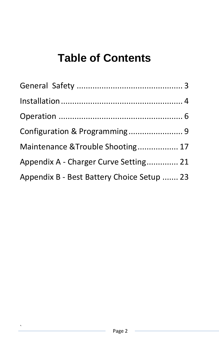### **Table of Contents**

| Maintenance & Trouble Shooting 17          |  |
|--------------------------------------------|--|
| Appendix A - Charger Curve Setting 21      |  |
| Appendix B - Best Battery Choice Setup  23 |  |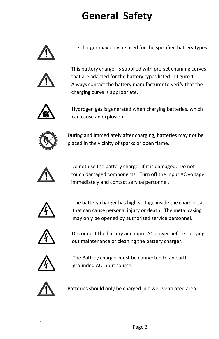### **General Safety**



The charger may only be used for the specified battery types.



This battery charger is supplied with pre-set charging curves that are adapted for the battery types listed in figure 1. Always contact the battery manufacturer to verify that the charging curve is appropriate.



Hydrogen gas is generated when charging batteries, which can cause an explosion.



During and immediately after charging, batteries may not be placed in the vicinity of sparks or open flame.



Do not use the battery charger if it is damaged. Do not touch damaged components. Turn off the input AC voltage immediately and contact service personnel.



The battery charger has high voltage inside the charger case that can cause personal injury or death. The metal casing may only be opened by authorized service personnel.



Disconnect the battery and input AC power before carrying out maintenance or cleaning the battery charger.



The Battery charger must be connected to an earth grounded AC input source.



`

Batteries should only be charged in a well ventilated area.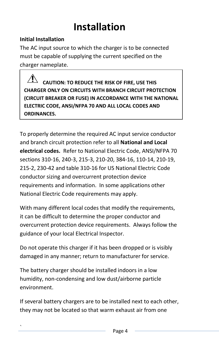### **Installation**

#### <span id="page-3-0"></span>**Initial Installation**

`

The AC input source to which the charger is to be connected must be capable of supplying the current specified on the charger nameplate.

 **CAUTION: TO REDUCE THE RISK OF FIRE, USE THIS CHARGER ONLY ON CIRCUITS WITH BRANCH CIRCUIT PROTECTION (CIRCUIT BREAKER OR FUSE) IN ACCORDANCE WITH THE NATIONAL ELECTRIC CODE, ANSI/NFPA 70 AND ALL LOCAL CODES AND ORDINANCES.**

To properly determine the required AC input service conductor and branch circuit protection refer to all **National and Local electrical codes.** Refer to National Electric Code, ANSI/NFPA 70 sections 310-16, 240-3, 215-3, 210-20, 384-16, 110-14, 210-19, 215-2, 230-42 and table 310-16 for US National Electric Code conductor sizing and overcurrent protection device requirements and information. In some applications other National Electric Code requirements may apply.

With many different local codes that modify the requirements, it can be difficult to determine the proper conductor and overcurrent protection device requirements. Always follow the guidance of your local Electrical Inspector.

Do not operate this charger if it has been dropped or is visibly damaged in any manner; return to manufacturer for service.

The battery charger should be installed indoors in a low humidity, non-condensing and low dust/airborne particle environment.

If several battery chargers are to be installed next to each other, they may not be located so that warm exhaust air from one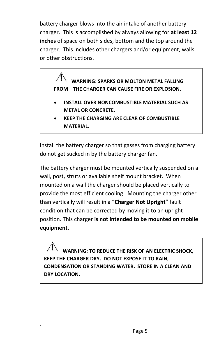battery charger blows into the air intake of another battery charger. This is accomplished by always allowing for **at least 12 inches** of space on both sides, bottom and the top around the charger. This includes other chargers and/or equipment, walls or other obstructions.

 **WARNING: SPARKS OR MOLTON METAL FALLING FROM THE CHARGER CAN CAUSE FIRE OR EXPLOSION.**

- **INSTALL OVER NONCOMBUSTIBLE MATERIAL SUCH AS METAL OR CONCRETE.**
- **KEEP THE CHARGING ARE CLEAR OF COMBUSTIBLE MATERIAL.**

Install the battery charger so that gasses from charging battery do not get sucked in by the battery charger fan.

The battery charger must be mounted vertically suspended on a wall, post, struts or available shelf mount bracket. When mounted on a wall the charger should be placed vertically to provide the most efficient cooling. Mounting the charger other than vertically will result in a "**Charger Not Upright**" fault condition that can be corrected by moving it to an upright position. This charger **is not intended to be mounted on mobile equipment.**

 **WARNING: TO REDUCE THE RISK OF AN ELECTRIC SHOCK, KEEP THE CHARGER DRY. DO NOT EXPOSE IT TO RAIN, CONDENSATION OR STANDING WATER. STORE IN A CLEAN AND DRY LOCATION.**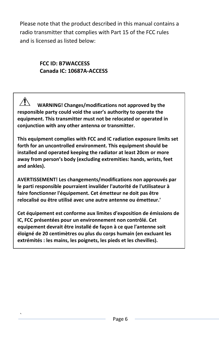<span id="page-5-0"></span>Please note that the product described in this manual contains a radio transmitter that complies with Part 15 of the FCC rules and is licensed as listed below:

### **FCC ID: B7WACCESS Canada IC: 10687A-ACCESS**

 **WARNING! Changes/modifications not approved by the responsible party could void the user's authority to operate the equipment. This transmitter must not be relocated or operated in conjunction with any other antenna or transmitter.** 

**This equipment complies with FCC and IC radiation exposure limits set forth for an uncontrolled environment. This equipment should be installed and operated keeping the radiator at least 20cm or more away from person's body (excluding extremities: hands, wrists, feet and ankles).**

**AVERTISSEMENT! Les changements/modifications non approuvés par le parti responsible pourraient invalider l'autorité de l'utilisateur à faire fonctionner l'équipement. Cet émetteur ne doit pas être relocalisé ou être utilisé avec une autre antenne ou émetteur.'**

**Cet équipement est conforme aux limites d'exposition de émissions de IC, FCC présentées pour un environnement non contrôlé. Cet equipement devrait être installé de façon à ce que l'antenne soit éloigné de 20 centimètres ou plus du corps humain (en excluant les extrémités : les mains, les poignets, les pieds et les chevilles).**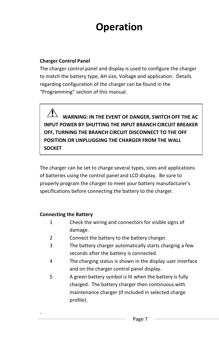### **Operation**

#### **Charger Control Panel**

The charger control panel and display is used to configure the charger to match the battery type, AH size, Voltage and application. Details regarding configuration of the charger can be found in the "Programming" section of this manual.

 **WARNING: IN THE EVENT OF DANGER, SWITCH OFF THE AC INPUT POWER BY SHUTTING THE INPUT BRANCH CIRCUIT BREAKER OFF, TURNING THE BRANCH CIRCUIT DISCONNECT TO THE OFF POSITION OR UNPLUGGING THE CHARGER FROM THE WALL SOCKET**

The charger can be set to charge several types, sizes and applications of batteries using the control panel and LCD display. Be sure to properly program the charger to meet your battery manufacturer's specifications before connecting the battery to the charger.

#### **Connecting the Battery**

- 1 Check the wiring and connectors for visible signs of damage.
- 2 Connect the battery to the battery charger.
- 3 The battery charger automatically starts charging a few seconds after the battery is connected.
- 4 The charging status is shown in the display user interface and on the charger control panel display.
- 5 A green battery symbol is lit when the battery is fully charged. The battery charger then continuous with maintenance charger (if included in selected charge profile).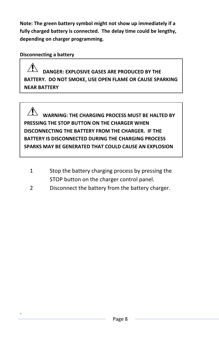**Note: The green battery symbol might not show up immediately if a fully charged battery is connected. The delay time could be lengthy, depending on charger programming.**

#### **Disconnecting a battery**

`

 **DANGER: EXPLOSIVE GASES ARE PRODUCED BY THE BATTERY. DO NOT SMOKE, USE OPEN FLAME OR CAUSE SPARKING NEAR BATTERY**

 **WARNING: THE CHARGING PROCESS MUST BE HALTED BY PRESSING THE STOP BUTTON ON THE CHARGER WHEN DISCONNECTING THE BATTERY FROM THE CHARGER. IF THE BATTERY IS DISCONNECTED DURING THE CHARGING PROCESS SPARKS MAY BE GENERATED THAT COULD CAUSE AN EXPLOSION**

- 1 Stop the battery charging process by pressing the STOP button on the charger control panel.
- 2 Disconnect the battery from the battery charger.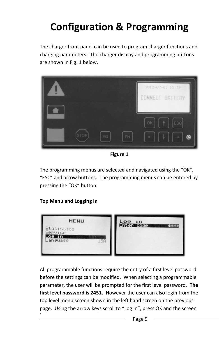### <span id="page-8-0"></span>**Configuration & Programming**

The charger front panel can be used to program charger functions and charging parameters. The charger display and programming buttons are shown in Fig. 1 below.



**Figure 1**

The programming menus are selected and navigated using the "OK", "ESC" and arrow buttons. The programming menus can be entered by pressing the "OK" button.

#### **Top Menu and Logging In**



` All programmable functions require the entry of a first level password before the settings can be modified. When selecting a programmable parameter, the user will be prompted for the first level password. **The first level password is 2451.** However the user can also login from the top level menu screen shown in the left hand screen on the previous page. Using the arrow keys scroll to "Log in", press OK and the screen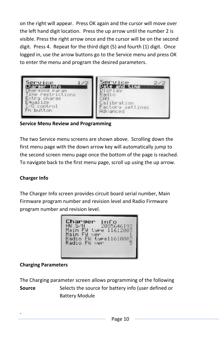on the right will appear. Press OK again and the cursor will move over the left hand digit location. Press the up arrow until the number 2 is visible. Press the right arrow once and the cursor will be on the second digit. Press 4. Repeat for the third digit (5) and fourth (1) digit. Once logged in, use the arrow buttons go to the Service menu and press OK to enter the menu and program the desired parameters.



**Service Menu Review and Programming**

The two Service menu screens are shown above. Scrolling down the first menu page with the down arrow key will automatically jump to the second screen menu page once the bottom of the page is reached. To navigate back to the first menu page, scroll up using the up arrow.

#### **Charger Info**

The Charger Info screen provides circuit board serial number, Main Firmware program number and revision level and Radio Firmware program number and revision level.



#### **Charging Parameters**

`

The Charging parameter screen allows programming of the following **Source** Selects the source for battery info (user defined or Battery Module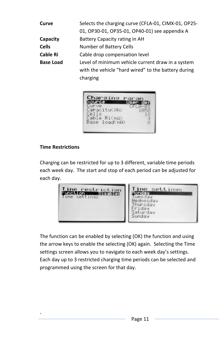| Curve            | Selects the charging curve (CFLA-01, CIMX-01, OP25- |  |
|------------------|-----------------------------------------------------|--|
|                  | 01, OP30-01, OP35-01, OP40-01) see appendix A       |  |
| Capacity         | Battery Capacity rating in AH                       |  |
| <b>Cells</b>     | Number of Battery Cells                             |  |
| Cable Ri         | Cable drop compensation level                       |  |
| <b>Base Load</b> | Level of minimum vehicle current draw in a system   |  |
|                  | with the vehicle "hard wired" to the battery during |  |
|                  | charging                                            |  |

| Charging param<br>Source       | ser<br>rie i |
|--------------------------------|--------------|
| Curve<br>Caracity(Ah)<br>Cells | 105P         |
| Cable Ri(mΩ)<br>Base load(mA)  |              |

#### **Time Restrictions**

`

Charging can be restricted for up to 3 different, variable time periods each week day. The start and stop of each period can be adjusted for each day.



The function can be enabled by selecting (OK) the function and using the arrow keys to enable the selecting (OK) again. Selecting the Time settings screen allows you to navigate to each week day's settings. Each day up to 3 restricted charging time periods can be selected and programmed using the screen for that day.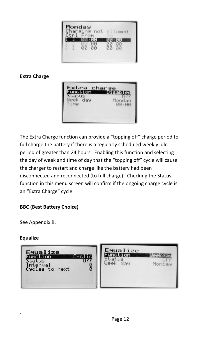

#### **Extra Charge**



The Extra Charge function can provide a "topping off" charge period to full charge the battery if there is a regularly scheduled weekly idle period of greater than 24 hours. Enabling this function and selecting the day of week and time of day that the "topping off" cycle will cause the charger to restart and charge like the battery had been disconnected and reconnected (to full charge). Checking the Status function in this menu screen will confirm if the ongoing charge cycle is an "Extra Charge" cycle.

#### **BBC (Best Battery Choice)**

See Appendix B.

#### **Equalize**



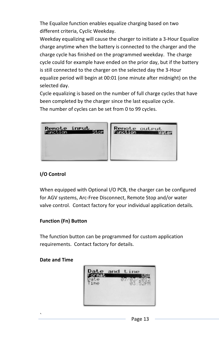The Equalize function enables equalize charging based on two different criteria, Cyclic Weekday.

Weekday equalizing will cause the charger to initiate a 3-Hour Equalize charge anytime when the battery is connected to the charger and the charge cycle has finished on the programmed weekday. The charge cycle could for example have ended on the prior day, but if the battery is still connected to the charger on the selected day the 3-Hour equalize period will begin at 00:01 (one minute after midnight) on the selected day.

Cycle equalizing is based on the number of full charge cycles that have been completed by the charger since the last equalize cycle. The number of cycles can be set from 0 to 99 cycles.



#### **I/O Control**

When equipped with Optional I/O PCB, the charger can be configured for AGV systems, Arc-Free Disconnect, Remote Stop and/or water valve control. Contact factory for your individual application details.

#### **Function (Fn) Button**

The function button can be programmed for custom application requirements. Contact factory for details.

#### **Date and Time**

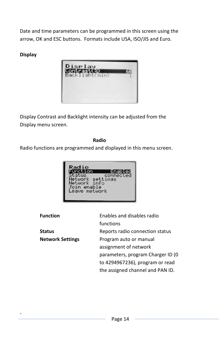Date and time parameters can be programmed in this screen using the arrow, OK and ESC buttons. Formats include USA, ISO/JIS and Euro.

**Display**

`



Display Contrast and Backlight intensity can be adjusted from the Display menu screen.

#### **Radio**

Radio functions are programmed and displayed in this menu screen.



| <b>Function</b>         | Enables and disables radio        |
|-------------------------|-----------------------------------|
|                         | functions                         |
| <b>Status</b>           | Reports radio connection status   |
| <b>Network Settings</b> | Program auto or manual            |
|                         | assignment of network             |
|                         | parameters, program Charger ID (0 |
|                         | to 4294967236), program or read   |
|                         | the assigned channel and PAN ID.  |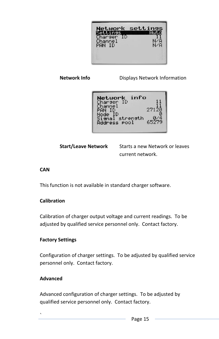

**Network Info Displays Network Information** 

info etwork ID strength Pool ۹٩

**Start/Leave Network** Starts a new Network or leaves current network.

#### **CAN**

This function is not available in standard charger software.

#### **Calibration**

Calibration of charger output voltage and current readings. To be adjusted by qualified service personnel only. Contact factory.

#### **Factory Settings**

Configuration of charger settings. To be adjusted by qualified service personnel only. Contact factory.

#### **Advanced**

`

Advanced configuration of charger settings. To be adjusted by qualified service personnel only. Contact factory.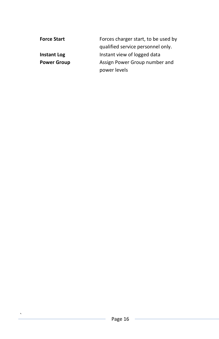| <b>Force Start</b> | Forces charger start, to be used by |
|--------------------|-------------------------------------|
|                    | qualified service personnel only.   |
| <b>Instant Log</b> | Instant view of logged data         |
| <b>Power Group</b> | Assign Power Group number and       |
|                    | power levels                        |

 $\lambda$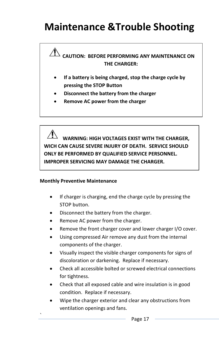### <span id="page-16-0"></span>**Maintenance &Trouble Shooting**

**CAUTION: BEFORE PERFORMING ANY MAINTENANCE ON THE CHARGER:**

- **If a battery is being charged, stop the charge cycle by pressing the STOP Button**
- **Disconnect the battery from the charger**
- **Remove AC power from the charger**

 **WARNING: HIGH VOLTAGES EXIST WITH THE CHARGER, WICH CAN CAUSE SEVERE INJURY OF DEATH. SERVICE SHOULD ONLY BE PERFORMED BY QUALIFIED SERVICE PERSONNEL. IMPROPER SERVICING MAY DAMAGE THE CHARGER.**

#### **Monthly Preventive Maintenance**

- If charger is charging, end the charge cycle by pressing the STOP button.
- Disconnect the battery from the charger.
- Remove AC power from the charger.
- Remove the front charger cover and lower charger I/O cover.
- Using compressed Air remove any dust from the internal components of the charger.
- Visually inspect the visible charger components for signs of discoloration or darkening. Replace if necessary.
- Check all accessible bolted or screwed electrical connections for tightness.
- Check that all exposed cable and wire insulation is in good condition. Replace if necessary.
- Wipe the charger exterior and clear any obstructions from ventilation openings and fans.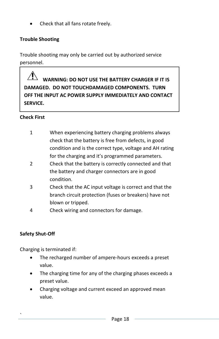Check that all fans rotate freely.

#### **Trouble Shooting**

Trouble shooting may only be carried out by authorized service personnel.

 **WARNING: DO NOT USE THE BATTERY CHARGER IF IT IS DAMAGED. DO NOT TOUCHDAMAGED COMPONENTS. TURN OFF THE INPUT AC POWER SUPPLY IMMEDIATELY AND CONTACT SERVICE.**

#### **Check First**

- 1 When experiencing battery charging problems always check that the battery is free from defects, in good condition and is the correct type, voltage and AH rating for the charging and it's programmed parameters.
- 2 Check that the battery is correctly connected and that the battery and charger connectors are in good condition.
- 3 Check that the AC input voltage is correct and that the branch circuit protection (fuses or breakers) have not blown or tripped.
- 4 Check wiring and connectors for damage.

#### **Safety Shut-Off**

`

Charging is terminated if:

- The recharged number of ampere-hours exceeds a preset value.
- The charging time for any of the charging phases exceeds a preset value.
- Charging voltage and current exceed an approved mean value.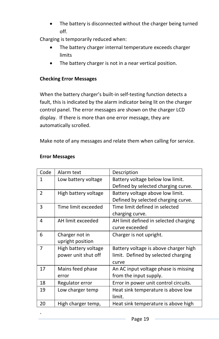The battery is disconnected without the charger being turned off.

Charging is temporarily reduced when:

- The battery charger internal temperature exceeds charger limits
- The battery charger is not in a near vertical position.

#### **Checking Error Messages**

When the battery charger's built-in self-testing function detects a fault, this is indicated by the alarm indicator being lit on the charger control panel. The error messages are shown on the charger LCD display. If there is more than one error message, they are automatically scrolled.

Make note of any messages and relate them when calling for service.

| Code | Alarm text           | Description                           |
|------|----------------------|---------------------------------------|
| 1    | Low battery voltage  | Battery voltage below low limit.      |
|      |                      | Defined by selected charging curve.   |
| 2    | High battery voltage | Battery voltage above low limit.      |
|      |                      | Defined by selected charging curve.   |
| 3    | Time limit exceeded  | Time limit defined in selected        |
|      |                      | charging curve.                       |
| 4    | AH limit exceeded    | AH limit defined in selected charging |
|      |                      | curve exceeded                        |
| 6    | Charger not in       | Charger is not upright.               |
|      | upright position     |                                       |
| 7    | High battery voltage | Battery voltage is above charger high |
|      | power unit shut off  | limit. Defined by selected charging   |
|      |                      | curve                                 |
| 17   | Mains feed phase     | An AC input voltage phase is missing  |
|      | error                | from the input supply.                |
| 18   | Regulator error      | Error in power unit control circuits. |
| 19   | Low charger temp     | Heat sink temperature is above low    |
|      |                      | limit.                                |
| 20   | High charger temp,   | Heat sink temperature is above high   |

#### **Error Messages**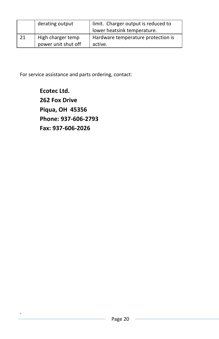|    | derating output                          | limit. Charger output is reduced to<br>lower heatsink temperature. |
|----|------------------------------------------|--------------------------------------------------------------------|
| 21 | High charger temp<br>power unit shut off | Hardware temperature protection is<br>active.                      |

For service assistance and parts ordering, contact:

**Ecotec Ltd. 262 Fox Drive Piqua, OH 45356 Phone: 937-606-2793 Fax: 937-606-2026**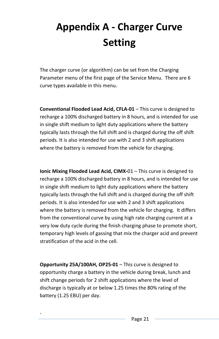## <span id="page-20-0"></span>**Appendix A - Charger Curve Setting**

The charger curve (or algorithm) can be set from the Charging Parameter menu of the first page of the Service Menu. There are 6 curve types available in this menu.

**Conventional Flooded Lead Acid, CFLA-01** – This curve is designed to recharge a 100% discharged battery in 8 hours, and is intended for use in single shift medium to light duty applications where the battery typically lasts through the full shift and is charged during the off shift periods. It is also intended for use with 2 and 3 shift applications where the battery is removed from the vehicle for charging.

**Ionic Mixing Flooded Lead Acid, CIMX-**01 – This curve is designed to recharge a 100% discharged battery in 8 hours, and is intended for use in single shift medium to light duty applications where the battery typically lasts through the full shift and is charged during the off shift periods. It is also intended for use with 2 and 3 shift applications where the battery is removed from the vehicle for charging. It differs from the conventional curve by using high rate charging current at a very low duty cycle during the finish charging phase to promote short, temporary high levels of gassing that mix the charger acid and prevent stratification of the acid in the cell.

**Opportunity 25A/100AH, OP25-01** – This curve is designed to opportunity charge a battery in the vehicle during break, lunch and shift change periods for 2 shift applications where the level of discharge is typically at or below 1.25 times the 80% rating of the battery (1.25 EBU) per day.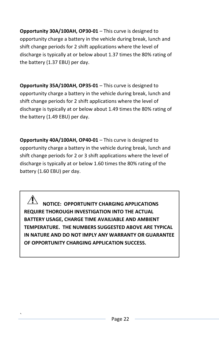**Opportunity 30A/100AH, OP30-01** – This curve is designed to opportunity charge a battery in the vehicle during break, lunch and shift change periods for 2 shift applications where the level of discharge is typically at or below about 1.37 times the 80% rating of the battery (1.37 EBU) per day.

**Opportunity 35A/100AH, OP35-01** – This curve is designed to opportunity charge a battery in the vehicle during break, lunch and shift change periods for 2 shift applications where the level of discharge is typically at or below about 1.49 times the 80% rating of the battery (1.49 EBU) per day.

**Opportunity 40A/100AH, OP40-01** – This curve is designed to opportunity charge a battery in the vehicle during break, lunch and shift change periods for 2 or 3 shift applications where the level of discharge is typically at or below 1.60 times the 80% rating of the battery (1.60 EBU) per day.

 **NOTICE: OPPORTUNITY CHARGING APPLICATIONS REQUIRE THOROUGH INVESTIGATION INTO THE ACTUAL BATTERY USAGE, CHARGE TIME AVAILIABLE AND AMBIENT TEMPERATURE. THE NUMBERS SUGGESTED ABOVE ARE TYPICAL IN NATURE AND DO NOT IMPLY ANY WARRANTY OR GUARANTEE OF OPPORTUNITY CHARGING APPLICATION SUCCESS.**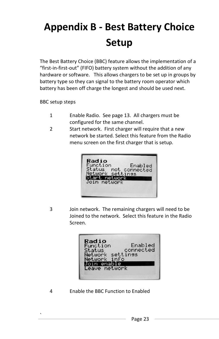### <span id="page-22-0"></span>**Appendix B - Best Battery Choice Setup**

The Best Battery Choice (BBC) feature allows the implementation of a "first-in-first-out" (FIFO) battery system without the addition of any hardware or software. This allows chargers to be set up in groups by battery type so they can signal to the battery room operator which battery has been off charge the longest and should be used next.

BBC setup steps

`

- 1 Enable Radio. See page 13. All chargers must be configured for the same channel.
- 2 Start network. First charger will require that a new network be started. Select this feature from the Radio menu screen on the first charger that is setup.

| Radio<br>Function<br>Enabled<br>Status not connected<br>Network settings<br>Start network<br>Join network |  |
|-----------------------------------------------------------------------------------------------------------|--|
|-----------------------------------------------------------------------------------------------------------|--|

3 Join network. The remaining chargers will need to be Joined to the network. Select this feature in the Radio Screen.

| Radio<br>Function<br>Status.<br>Network settings | Enabled<br>connected |
|--------------------------------------------------|----------------------|
| Network info<br>Join enable                      |                      |
| Leave network                                    |                      |

4 Enable the BBC Function to Enabled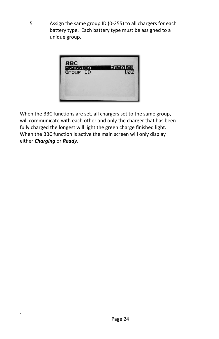5 Assign the same group ID (0-255) to all chargers for each battery type. Each battery type must be assigned to a unique group.

| BBC<br>Group ID | $\frac{1}{102}$ |
|-----------------|-----------------|
|                 |                 |

When the BBC functions are set, all chargers set to the same group, will communicate with each other and only the charger that has been fully charged the longest will light the green charge finished light. When the BBC function is active the main screen will only display either *Charging* or *Ready*.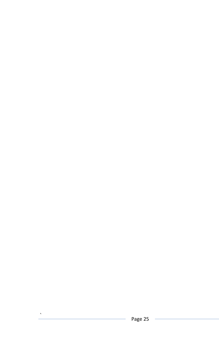Page 25

 $\overline{\phantom{0}}$ 

 $\lambda$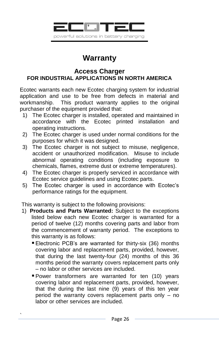

### **Warranty**

#### **Access Charger FOR INDUSTRIAL APPLICATIONS IN NORTH AMERICA**

Ecotec warrants each new Ecotec charging system for industrial application and use to be free from defects in material and workmanship. This product warranty applies to the original purchaser of the equipment provided that:

- 1) The Ecotec charger is installed, operated and maintained in accordance with the Ecotec printed installation and operating instructions.
- 2) The Ecotec charger is used under normal conditions for the purposes for which it was designed.
- 3) The Ecotec charger is not subject to misuse, negligence, accident or unauthorized modification. Misuse to include abnormal operating conditions (including exposure to chemicals, flames, extreme dust or extreme temperatures).
- 4) The Ecotec charger is properly serviced in accordance with Ecotec service guidelines and using Ecotec parts.
- 5) The Ecotec charger is used in accordance with Ecotec's performance ratings for the equipment.

This warranty is subject to the following provisions:

- 1) **Products and Parts Warranted:** Subject to the exceptions listed below each new Ecotec charger is warranted for a period of twelve (12) months covering parts and labor from the commencement of warranty period. The exceptions to this warranty is as follows:
	- Electronic PCB's are warranted for thirty-six (36) months covering labor and replacement parts, provided, however, that during the last twenty-four (24) months of this 36 months period the warranty covers replacement parts only – no labor or other services are included.
	- Power transformers are warranted for ten (10) years covering labor and replacement parts, provided, however, that the during the last nine (9) years of this ten year period the warranty covers replacement parts only – no labor or other services are included.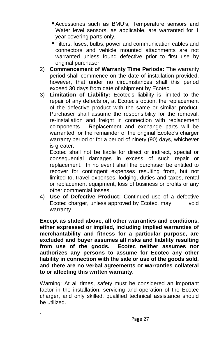- Accessories such as BMU's, Temperature sensors and Water level sensors, as applicable, are warranted for 1 year covering parts only.
- Filters, fuses, bulbs, power and communication cables and connectors and vehicle mounted attachments are not warranted unless found defective prior to first use by original purchaser.
- 2) **Commencement of Warranty Time Periods:** The warranty period shall commence on the date of installation provided, however, that under no circumstances shall this period exceed 30 days from date of shipment by Ecotec.
- 3) **Limitation of Liability:** Ecotec's liability is limited to the repair of any defects or, at Ecotec's option, the replacement of the defective product with the same or similar product. Purchaser shall assume the responsibility for the removal, re-installation and freight in connection with replacement components. Replacement and exchange parts will be warranted for the remainder of the original Ecotec's charger warranty period or for a period of ninety (90) days, whichever is greater.

Ecotec shall not be liable for direct or indirect, special or consequential damages in excess of such repair or replacement. In no event shall the purchaser be entitled to recover for contingent expenses resulting from, but not limited to, travel expenses, lodging, duties and taxes, rental or replacement equipment, loss of business or profits or any other commercial losses.

4) **Use of Defective Product:** Continued use of a defective Ecotec charger, unless approved by Ecotec, may void warranty.

**Except as stated above, all other warranties and conditions, either expressed or implied, including implied warranties of merchantability and fitness for a particular purpose, are excluded and buyer assumes all risks and liability resulting from use of the goods. Ecotec neither assumes nor authorizes any persons to assume for Ecotec any other liability in connection with the sale or use of the goods sold, and there are no verbal agreements or warranties collateral to or affecting this written warranty.**

Warning: At all times, safety must be considered an important factor in the installation, servicing and operation of the Ecotec charger, and only skilled, qualified technical assistance should be utilized.